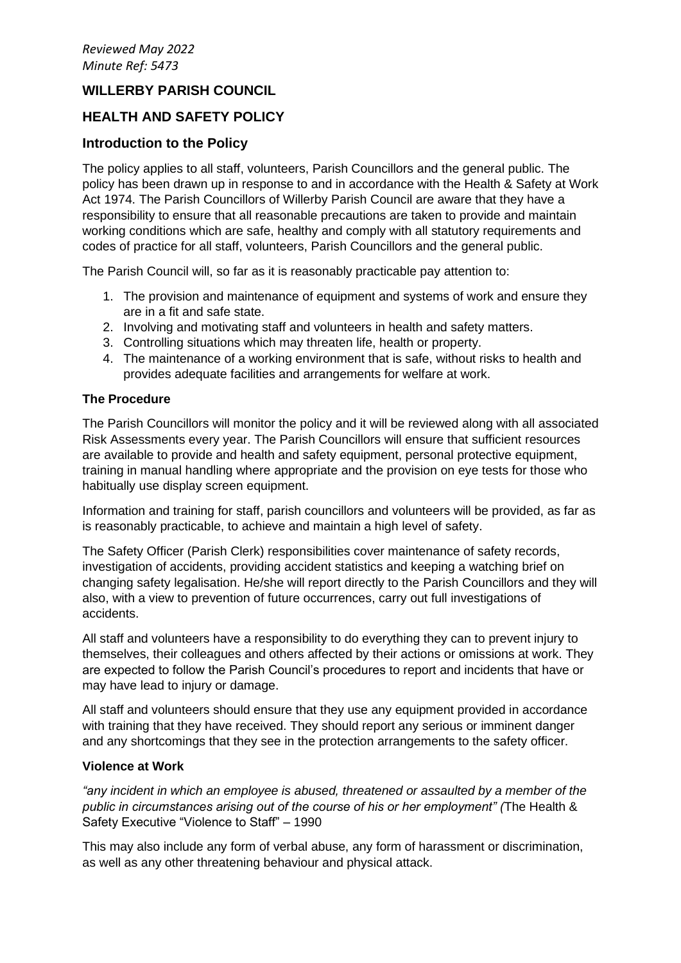# **WILLERBY PARISH COUNCIL**

# **HEALTH AND SAFETY POLICY**

## **Introduction to the Policy**

The policy applies to all staff, volunteers, Parish Councillors and the general public. The policy has been drawn up in response to and in accordance with the Health & Safety at Work Act 1974. The Parish Councillors of Willerby Parish Council are aware that they have a responsibility to ensure that all reasonable precautions are taken to provide and maintain working conditions which are safe, healthy and comply with all statutory requirements and codes of practice for all staff, volunteers, Parish Councillors and the general public.

The Parish Council will, so far as it is reasonably practicable pay attention to:

- 1. The provision and maintenance of equipment and systems of work and ensure they are in a fit and safe state.
- 2. Involving and motivating staff and volunteers in health and safety matters.
- 3. Controlling situations which may threaten life, health or property.
- 4. The maintenance of a working environment that is safe, without risks to health and provides adequate facilities and arrangements for welfare at work.

### **The Procedure**

The Parish Councillors will monitor the policy and it will be reviewed along with all associated Risk Assessments every year. The Parish Councillors will ensure that sufficient resources are available to provide and health and safety equipment, personal protective equipment, training in manual handling where appropriate and the provision on eye tests for those who habitually use display screen equipment.

Information and training for staff, parish councillors and volunteers will be provided, as far as is reasonably practicable, to achieve and maintain a high level of safety.

The Safety Officer (Parish Clerk) responsibilities cover maintenance of safety records, investigation of accidents, providing accident statistics and keeping a watching brief on changing safety legalisation. He/she will report directly to the Parish Councillors and they will also, with a view to prevention of future occurrences, carry out full investigations of accidents.

All staff and volunteers have a responsibility to do everything they can to prevent injury to themselves, their colleagues and others affected by their actions or omissions at work. They are expected to follow the Parish Council's procedures to report and incidents that have or may have lead to injury or damage.

All staff and volunteers should ensure that they use any equipment provided in accordance with training that they have received. They should report any serious or imminent danger and any shortcomings that they see in the protection arrangements to the safety officer.

### **Violence at Work**

*"any incident in which an employee is abused, threatened or assaulted by a member of the public in circumstances arising out of the course of his or her employment" (*The Health & Safety Executive "Violence to Staff" – 1990

This may also include any form of verbal abuse, any form of harassment or discrimination, as well as any other threatening behaviour and physical attack.